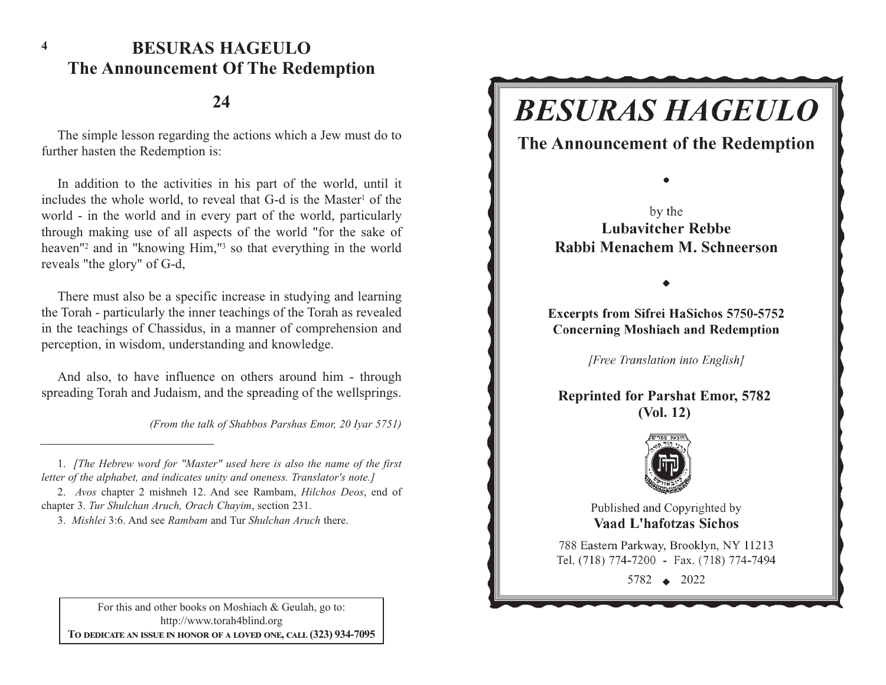### **BESURAS HAGEULOThe Announcement Of The Redemption**

#### **24**

The simple lesson regarding the actions which a Jew must do to further hasten the Redemption is:

In addition to the activities in his part of the world, until it includes the whole world, to reveal that G-d is the Master<sup>1</sup> of the world - in the world and in every part of the world, particularly through making use of all aspects of the world "for the sake of heaven"2 and in "knowing Him,"3 so that everything in the world reveals "the glory" of G-d,

There must also be a specific increase in studying and learning the Torah - particularly the inner teachings of the Torah as revealed in the teachings of Chassidus, in a manner of comprehension and perception, in wisdom, understanding and knowledge.

And also, to have influence on others around him - through spreading Torah and Judaism, and the spreading of the wellsprings.

*(From the talk of Shabbos Parshas Emor, 20 Iyar 5751)*

3. *Mishlei* 3:6. And see *Rambam* and Tur *Shulchan Aruch* there.

For this and other books on Moshiach & Geulah, go to: http://www.torah4blind.org  $\bf{To \textbf{ DEDICATE \textbf{AN} \textbf{ ISSUE} \textbf{IN} \textbf{ HONOR} \textbf{OF} \textbf{A} \textbf{ LOVED} \textbf{ONE}, \textbf{CALL} \textbf{(323)} \textbf{934-7095}}$ 

## **BESURAS HAGEULO**

The Announcement of the Redemption

by the **Lubavitcher Rebbe** Rabbi Menachem M. Schneerson

**Excerpts from Sifrei HaSichos 5750-5752 Concerning Moshiach and Redemption** 

[Free Translation into English]

**Reprinted for Parshat Emor, 5782 (Vol. 12)**



Published and Copyrighted by **Vaad L'hafotzas Sichos** 

788 Eastern Parkway, Brooklyn, NY 11213 Tel. (718) 774-7200 - Fax. (718) 774-7494

5782 2022

<sup>1.</sup> *[The Hebrew word for "Master" used here is also the name of the first letter of the alphabet, and indicates unity and oneness. Translator's note.]*

<sup>2.</sup> *Avos* chapter 2 mishneh 12. And see Rambam, *Hilchos Deos*, end of chapter 3. *Tur Shulchan Aruch, Orach Chayim*, section 231.